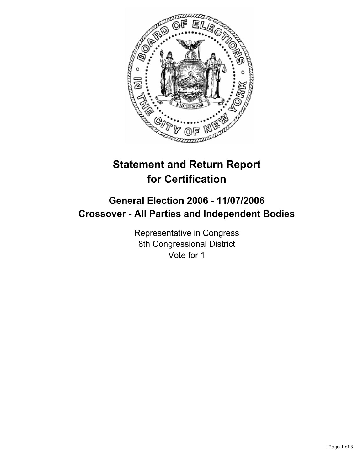

# **Statement and Return Report for Certification**

## **General Election 2006 - 11/07/2006 Crossover - All Parties and Independent Bodies**

Representative in Congress 8th Congressional District Vote for 1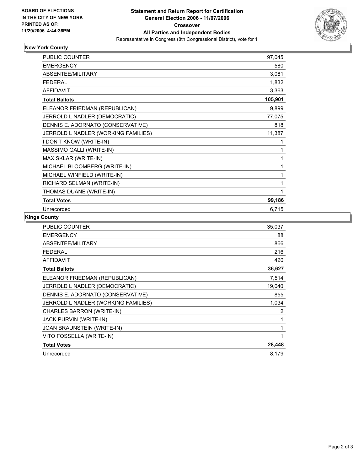

#### **New York County**

| PUBLIC COUNTER                      | 97,045  |
|-------------------------------------|---------|
| <b>EMERGENCY</b>                    | 580     |
| <b>ABSENTEE/MILITARY</b>            | 3,081   |
| <b>FEDERAL</b>                      | 1,832   |
| <b>AFFIDAVIT</b>                    | 3,363   |
| <b>Total Ballots</b>                | 105,901 |
| ELEANOR FRIEDMAN (REPUBLICAN)       | 9,899   |
| JERROLD L NADLER (DEMOCRATIC)       | 77,075  |
| DENNIS E. ADORNATO (CONSERVATIVE)   | 818     |
| JERROLD L NADLER (WORKING FAMILIES) | 11,387  |
| I DON'T KNOW (WRITE-IN)             |         |
| MASSIMO GALLI (WRITE-IN)            |         |
| MAX SKLAR (WRITE-IN)                | 1       |
| MICHAEL BLOOMBERG (WRITE-IN)        |         |
| MICHAEL WINFIELD (WRITE-IN)         |         |
| RICHARD SELMAN (WRITE-IN)           |         |
| THOMAS DUANE (WRITE-IN)             |         |
| <b>Total Votes</b>                  | 99,186  |
| Unrecorded                          | 6,715   |

### **Kings County**

| PUBLIC COUNTER                      | 35,037 |
|-------------------------------------|--------|
| <b>EMERGENCY</b>                    | 88     |
| ABSENTEE/MILITARY                   | 866    |
| <b>FEDERAL</b>                      | 216    |
| <b>AFFIDAVIT</b>                    | 420    |
| <b>Total Ballots</b>                | 36,627 |
| ELEANOR FRIEDMAN (REPUBLICAN)       | 7,514  |
| JERROLD L NADLER (DEMOCRATIC)       | 19,040 |
| DENNIS E. ADORNATO (CONSERVATIVE)   | 855    |
| JERROLD L NADLER (WORKING FAMILIES) | 1,034  |
| CHARLES BARRON (WRITE-IN)           | 2      |
| JACK PURVIN (WRITE-IN)              |        |
| JOAN BRAUNSTEIN (WRITE-IN)          |        |
| VITO FOSSELLA (WRITE-IN)            |        |
| <b>Total Votes</b>                  | 28,448 |
| Unrecorded                          | 8,179  |
|                                     |        |